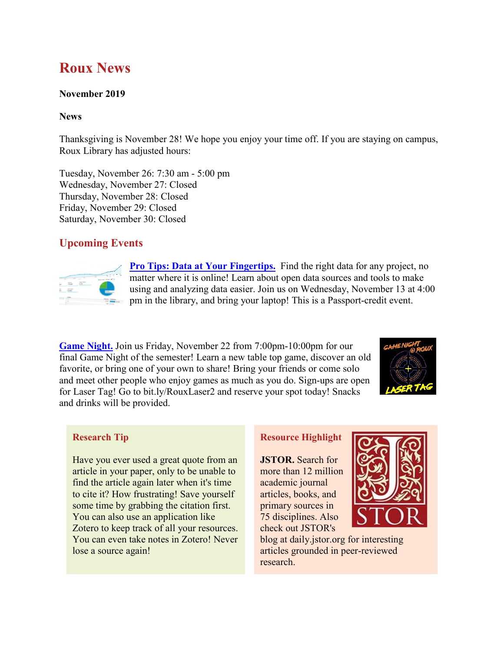# **Roux News**

## **November 2019**

#### **News**

Thanksgiving is November 28! We hope you enjoy your time off. If you are staying on campus, Roux Library has adjusted hours:

Tuesday, November 26: 7:30 am - 5:00 pm Wednesday, November 27: Closed Thursday, November 28: Closed Friday, November 29: Closed Saturday, November 30: Closed

# **Upcoming Events**



**[Pro Tips: Data at Your Fingertips.](https://flsouthern.campuslabs.com/engage/event/4532441)** Find the right data for any project, no matter where it is online! Learn about open data sources and tools to make using and analyzing data easier. Join us on Wednesday, November 13 at 4:00 pm in the library, and bring your laptop! This is a Passport-credit event.

**[Game Night.](https://bit.ly/RouxLaser2)** Join us Friday, November 22 from 7:00pm-10:00pm for our final Game Night of the semester! Learn a new table top game, discover an old favorite, or bring one of your own to share! Bring your friends or come solo and meet other people who enjoy games as much as you do. Sign-ups are open for Laser Tag! Go to bit.ly/RouxLaser2 and reserve your spot today! Snacks and drinks will be provided.



## **Research Tip**

Have you ever used a great quote from an article in your paper, only to be unable to find the article again later when it's time to cite it? How frustrating! Save yourself some time by grabbing the citation first. You can also use an application like Zotero to keep track of all your resources. You can even take notes in Zotero! Never lose a source again!

## **Resource Highlight**

**JSTOR.** Search for more than 12 million academic journal articles, books, and primary sources in 75 disciplines. Also check out JSTOR's



blog at daily.jstor.org for interesting articles grounded in peer-reviewed research.